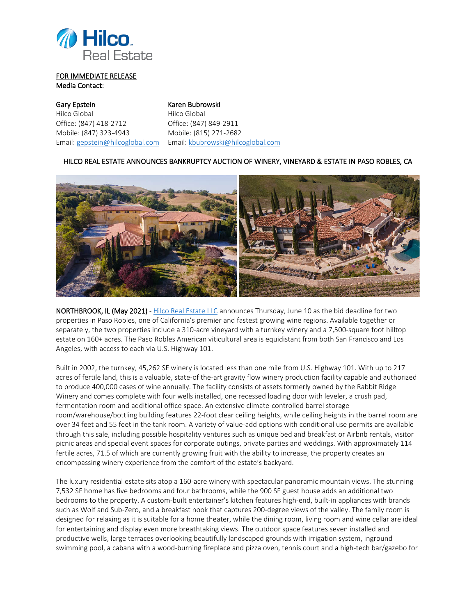

## FOR IMMEDIATE RELEASE Media Contact:

Gary Epstein Karen Bubrowski Hilco Global **Hilco** Global Office: (847) 418-2712 Office: (847) 849-2911 Mobile: (847) 323-4943 Mobile: (815) 271-2682

Email: [gepstein@hilcoglobal.com](mailto:gepstein@hilcoglobal.com) Email: [kbubrowski@hilcoglobal.com](mailto:kbubrowski@hilcoglobal.com)

## HILCO REAL ESTATE ANNOUNCES BANKRUPTCY AUCTION OF WINERY, VINEYARD & ESTATE IN PASO ROBLES, CA



NORTHBROOK, IL (May 2021) - [Hilco Real Estate LLC](https://marketing.hilcoglobal.com/hre-paso-robles-california-winery-2021/) announces Thursday, June 10 as the bid deadline for two properties in Paso Robles, one of California's premier and fastest growing wine regions. Available together or separately, the two properties include a 310-acre vineyard with a turnkey winery and a 7,500-square foot hilltop estate on 160+ acres. The Paso Robles American viticultural area is equidistant from both San Francisco and Los Angeles, with access to each via U.S. Highway 101.

Built in 2002, the turnkey, 45,262 SF winery is located less than one mile from U.S. Highway 101. With up to 217 acres of fertile land, this is a valuable, state-of the-art gravity flow winery production facility capable and authorized to produce 400,000 cases of wine annually. The facility consists of assets formerly owned by the Rabbit Ridge Winery and comes complete with four wells installed, one recessed loading door with leveler, a crush pad, fermentation room and additional office space. An extensive climate-controlled barrel storage room/warehouse/bottling building features 22-foot clear ceiling heights, while ceiling heights in the barrel room are over 34 feet and 55 feet in the tank room. A variety of value-add options with conditional use permits are available through this sale, including possible hospitality ventures such as unique bed and breakfast or Airbnb rentals, visitor picnic areas and special event spaces for corporate outings, private parties and weddings. With approximately 114 fertile acres, 71.5 of which are currently growing fruit with the ability to increase, the property creates an encompassing winery experience from the comfort of the estate's backyard.

The luxury residential estate sits atop a 160-acre winery with spectacular panoramic mountain views. The stunning 7,532 SF home has five bedrooms and four bathrooms, while the 900 SF guest house adds an additional two bedrooms to the property. A custom-built entertainer's kitchen features high-end, built-in appliances with brands such as Wolf and Sub-Zero, and a breakfast nook that captures 200-degree views of the valley. The family room is designed for relaxing as it is suitable for a home theater, while the dining room, living room and wine cellar are ideal for entertaining and display even more breathtaking views. The outdoor space features seven installed and productive wells, large terraces overlooking beautifully landscaped grounds with irrigation system, inground swimming pool, a cabana with a wood-burning fireplace and pizza oven, tennis court and a high-tech bar/gazebo for